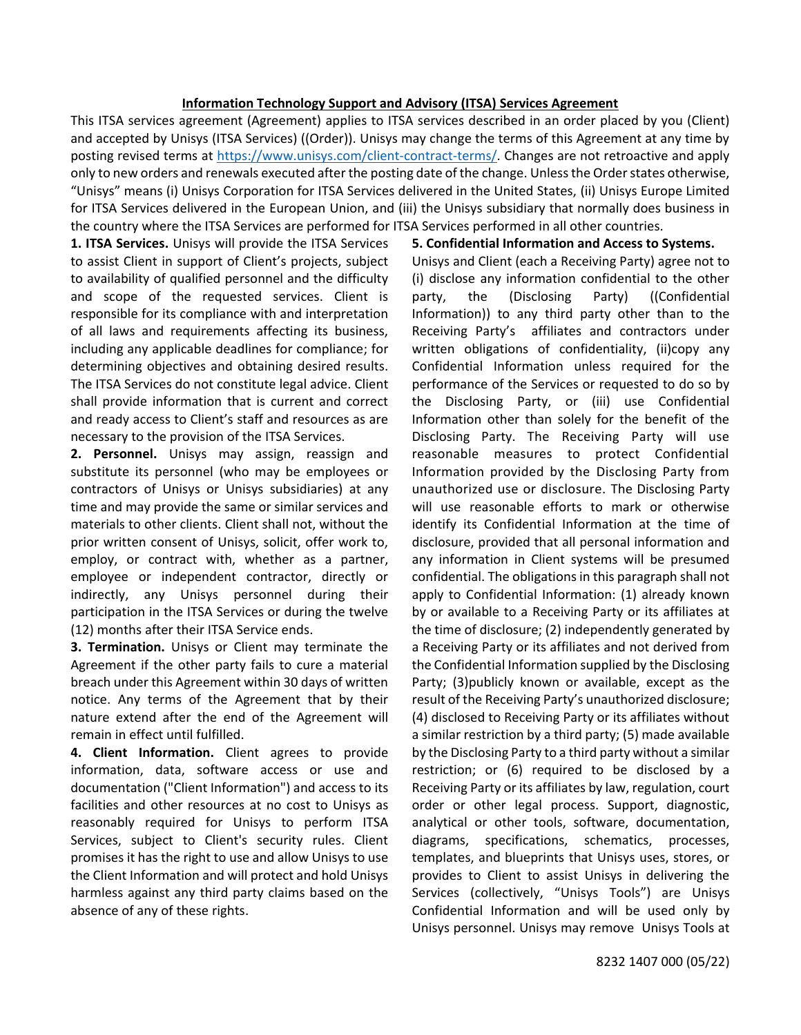## **Information Technology Support and Advisory (ITSA) Services Agreement**

This ITSA services agreement (Agreement) applies to ITSA services described in an order placed by you (Client) and accepted by Unisys (ITSA Services) ((Order)). Unisys may change the terms of this Agreement at any time by posting revised terms at [https://www.unisys.com/client-contract-terms/.](https://www.unisys.com/client-contract-terms/) Changes are not retroactive and apply only to new orders and renewals executed after the posting date of the change. Unless the Order states otherwise, "Unisys" means (i) Unisys Corporation for ITSA Services delivered in the United States, (ii) Unisys Europe Limited for ITSA Services delivered in the European Union, and (iii) the Unisys subsidiary that normally does business in the country where the ITSA Services are performed for ITSA Services performed in all other countries.

**1. ITSA Services.** Unisys will provide the ITSA Services to assist Client in support of Client's projects, subject to availability of qualified personnel and the difficulty and scope of the requested services. Client is responsible for its compliance with and interpretation of all laws and requirements affecting its business, including any applicable deadlines for compliance; for determining objectives and obtaining desired results. The ITSA Services do not constitute legal advice. Client shall provide information that is current and correct and ready access to Client's staff and resources as are necessary to the provision of the ITSA Services.

**2. Personnel.** Unisys may assign, reassign and substitute its personnel (who may be employees or contractors of Unisys or Unisys subsidiaries) at any time and may provide the same or similar services and materials to other clients. Client shall not, without the prior written consent of Unisys, solicit, offer work to, employ, or contract with, whether as a partner, employee or independent contractor, directly or indirectly, any Unisys personnel during their participation in the ITSA Services or during the twelve (12) months after their ITSA Service ends.

**3. Termination.** Unisys or Client may terminate the Agreement if the other party fails to cure a material breach under this Agreement within 30 days of written notice. Any terms of the Agreement that by their nature extend after the end of the Agreement will remain in effect until fulfilled.

**4. Client Information.** Client agrees to provide information, data, software access or use and documentation ("Client Information") and access to its facilities and other resources at no cost to Unisys as reasonably required for Unisys to perform ITSA Services, subject to Client's security rules. Client promises it has the right to use and allow Unisys to use the Client Information and will protect and hold Unisys harmless against any third party claims based on the absence of any of these rights.

## **5. Confidential Information and Access to Systems.**

Unisys and Client (each a Receiving Party) agree not to (i) disclose any information confidential to the other party, the (Disclosing Party) ((Confidential Information)) to any third party other than to the Receiving Party's affiliates and contractors under written obligations of confidentiality, (ii)copy any Confidential Information unless required for the performance of the Services or requested to do so by the Disclosing Party, or (iii) use Confidential Information other than solely for the benefit of the Disclosing Party. The Receiving Party will use reasonable measures to protect Confidential Information provided by the Disclosing Party from unauthorized use or disclosure. The Disclosing Party will use reasonable efforts to mark or otherwise identify its Confidential Information at the time of disclosure, provided that all personal information and any information in Client systems will be presumed confidential. The obligations in this paragraph shall not apply to Confidential Information: (1) already known by or available to a Receiving Party or its affiliates at the time of disclosure; (2) independently generated by a Receiving Party or its affiliates and not derived from the Confidential Information supplied by the Disclosing Party; (3)publicly known or available, except as the result of the Receiving Party's unauthorized disclosure; (4) disclosed to Receiving Party or its affiliates without a similar restriction by a third party; (5) made available by the Disclosing Party to a third party without a similar restriction; or (6) required to be disclosed by a Receiving Party or its affiliates by law, regulation, court order or other legal process. Support, diagnostic, analytical or other tools, software, documentation, diagrams, specifications, schematics, processes, templates, and blueprints that Unisys uses, stores, or provides to Client to assist Unisys in delivering the Services (collectively, "Unisys Tools") are Unisys Confidential Information and will be used only by Unisys personnel. Unisys may remove Unisys Tools at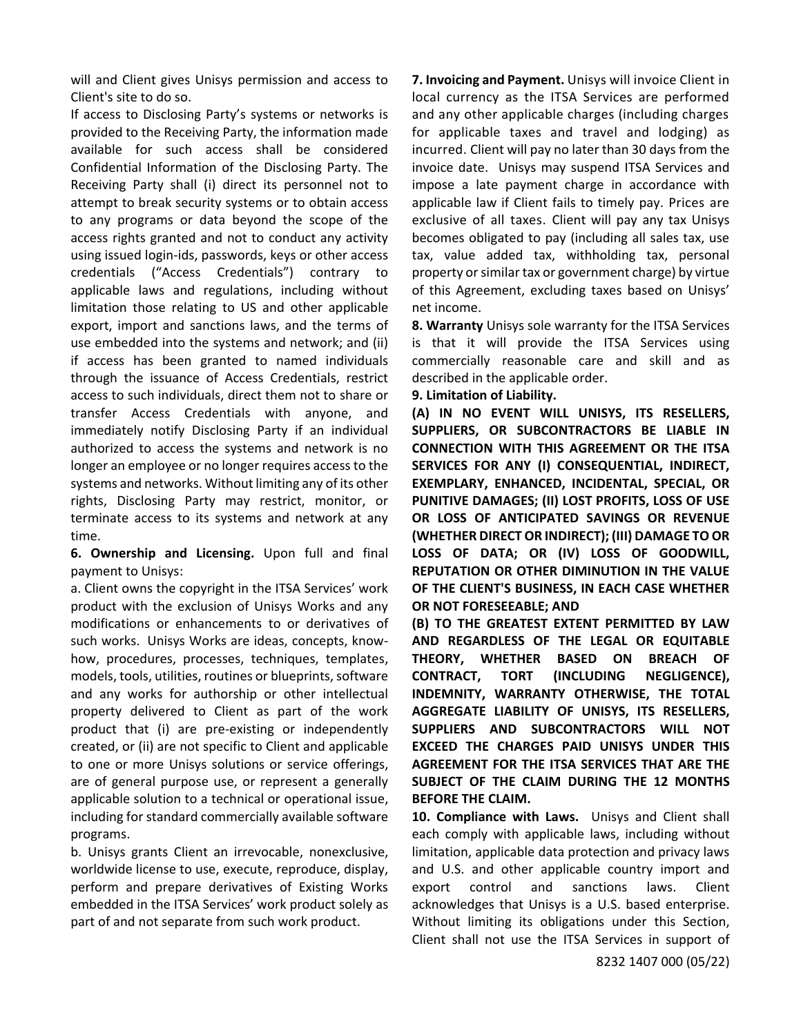will and Client gives Unisys permission and access to Client's site to do so.

If access to Disclosing Party's systems or networks is provided to the Receiving Party, the information made available for such access shall be considered Confidential Information of the Disclosing Party. The Receiving Party shall (i) direct its personnel not to attempt to break security systems or to obtain access to any programs or data beyond the scope of the access rights granted and not to conduct any activity using issued login-ids, passwords, keys or other access credentials ("Access Credentials") contrary to applicable laws and regulations, including without limitation those relating to US and other applicable export, import and sanctions laws, and the terms of use embedded into the systems and network; and (ii) if access has been granted to named individuals through the issuance of Access Credentials, restrict access to such individuals, direct them not to share or transfer Access Credentials with anyone, and immediately notify Disclosing Party if an individual authorized to access the systems and network is no longer an employee or no longer requires access to the systems and networks. Without limiting any of its other rights, Disclosing Party may restrict, monitor, or terminate access to its systems and network at any time.

**6. Ownership and Licensing.** Upon full and final payment to Unisys:

a. Client owns the copyright in the ITSA Services' work product with the exclusion of Unisys Works and any modifications or enhancements to or derivatives of such works. Unisys Works are ideas, concepts, knowhow, procedures, processes, techniques, templates, models, tools, utilities, routines or blueprints, software and any works for authorship or other intellectual property delivered to Client as part of the work product that (i) are pre-existing or independently created, or (ii) are not specific to Client and applicable to one or more Unisys solutions or service offerings, are of general purpose use, or represent a generally applicable solution to a technical or operational issue, including for standard commercially available software programs.

b. Unisys grants Client an irrevocable, nonexclusive, worldwide license to use, execute, reproduce, display, perform and prepare derivatives of Existing Works embedded in the ITSA Services' work product solely as part of and not separate from such work product.

**7. Invoicing and Payment.** Unisys will invoice Client in local currency as the ITSA Services are performed and any other applicable charges (including charges for applicable taxes and travel and lodging) as incurred. Client will pay no later than 30 days from the invoice date. Unisys may suspend ITSA Services and impose a late payment charge in accordance with applicable law if Client fails to timely pay. Prices are exclusive of all taxes. Client will pay any tax Unisys becomes obligated to pay (including all sales tax, use tax, value added tax, withholding tax, personal property or similar tax or government charge) by virtue of this Agreement, excluding taxes based on Unisys' net income.

**8. Warranty** Unisys sole warranty for the ITSA Services is that it will provide the ITSA Services using commercially reasonable care and skill and as described in the applicable order.

**9. Limitation of Liability.**

**(A) IN NO EVENT WILL UNISYS, ITS RESELLERS, SUPPLIERS, OR SUBCONTRACTORS BE LIABLE IN CONNECTION WITH THIS AGREEMENT OR THE ITSA SERVICES FOR ANY (I) CONSEQUENTIAL, INDIRECT, EXEMPLARY, ENHANCED, INCIDENTAL, SPECIAL, OR PUNITIVE DAMAGES; (II) LOST PROFITS, LOSS OF USE OR LOSS OF ANTICIPATED SAVINGS OR REVENUE (WHETHER DIRECT OR INDIRECT); (III) DAMAGE TO OR LOSS OF DATA; OR (IV) LOSS OF GOODWILL, REPUTATION OR OTHER DIMINUTION IN THE VALUE OF THE CLIENT'S BUSINESS, IN EACH CASE WHETHER OR NOT FORESEEABLE; AND**

**(B) TO THE GREATEST EXTENT PERMITTED BY LAW AND REGARDLESS OF THE LEGAL OR EQUITABLE THEORY, WHETHER BASED ON BREACH OF CONTRACT, TORT (INCLUDING NEGLIGENCE), INDEMNITY, WARRANTY OTHERWISE, THE TOTAL AGGREGATE LIABILITY OF UNISYS, ITS RESELLERS, SUPPLIERS AND SUBCONTRACTORS WILL NOT EXCEED THE CHARGES PAID UNISYS UNDER THIS AGREEMENT FOR THE ITSA SERVICES THAT ARE THE SUBJECT OF THE CLAIM DURING THE 12 MONTHS BEFORE THE CLAIM.**

**10. Compliance with Laws.** Unisys and Client shall each comply with applicable laws, including without limitation, applicable data protection and privacy laws and U.S. and other applicable country import and export control and sanctions laws. Client acknowledges that Unisys is a U.S. based enterprise. Without limiting its obligations under this Section, Client shall not use the ITSA Services in support of